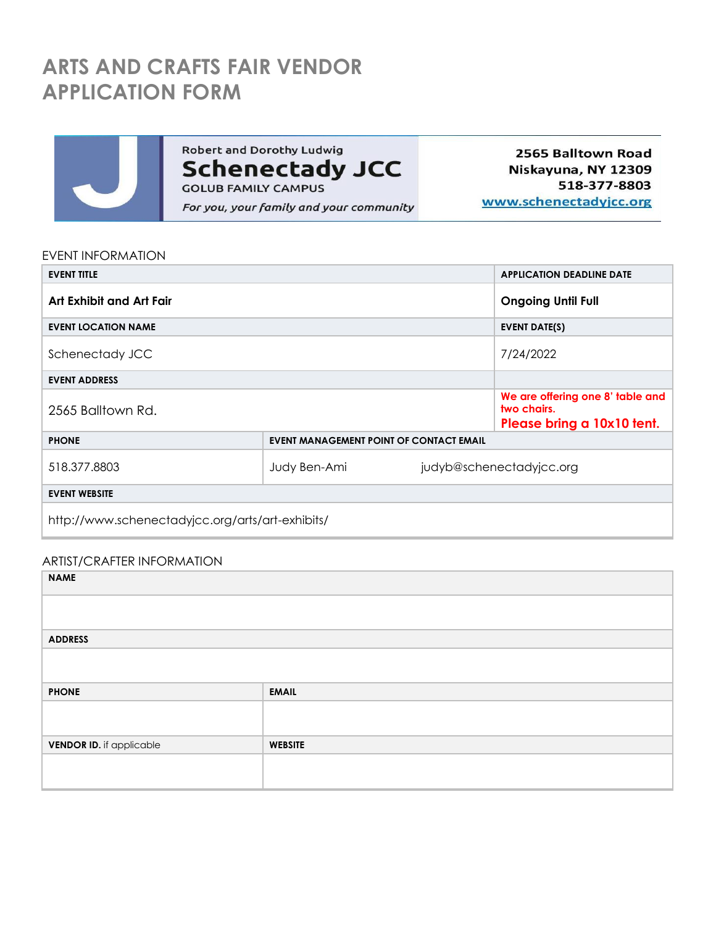# **ARTS AND CRAFTS FAIR VENDOR APPLICATION FORM**



Robert and Dorothy Ludwig **Schenectady JCC** For you, your family and your community

2565 Balltown Road Niskayuna, NY 12309 518-377-8803 www.schenectadyjcc.org

#### EVENT INFORMATION

| <b>EVENT TITLE</b>                               |                                         |                                                                               | <b>APPLICATION DEADLINE DATE</b> |  |
|--------------------------------------------------|-----------------------------------------|-------------------------------------------------------------------------------|----------------------------------|--|
| Art Exhibit and Art Fair                         |                                         | <b>Ongoing Until Full</b>                                                     |                                  |  |
| <b>EVENT LOCATION NAME</b>                       |                                         | <b>EVENT DATE(S)</b>                                                          |                                  |  |
| Schenectady JCC                                  |                                         | 7/24/2022                                                                     |                                  |  |
| <b>EVENT ADDRESS</b>                             |                                         |                                                                               |                                  |  |
| 2565 Balltown Rd.                                |                                         | We are offering one 8' table and<br>two chairs.<br>Please bring a 10x10 tent. |                                  |  |
| <b>PHONE</b>                                     | EVENT MANAGEMENT POINT OF CONTACT EMAIL |                                                                               |                                  |  |
| 518.377.8803                                     | Judy Ben-Ami                            |                                                                               | judyb@schenectadyjcc.org         |  |
| <b>EVENT WEBSITE</b>                             |                                         |                                                                               |                                  |  |
| http://www.schenectadyjcc.org/arts/art-exhibits/ |                                         |                                                                               |                                  |  |

#### ARTIST/CRAFTER INFORMATION

| <b>NAME</b>              |                |  |
|--------------------------|----------------|--|
|                          |                |  |
| <b>ADDRESS</b>           |                |  |
|                          |                |  |
|                          |                |  |
| <b>PHONE</b>             | <b>EMAIL</b>   |  |
|                          |                |  |
| VENDOR ID. if applicable | <b>WEBSITE</b> |  |
|                          |                |  |
|                          |                |  |